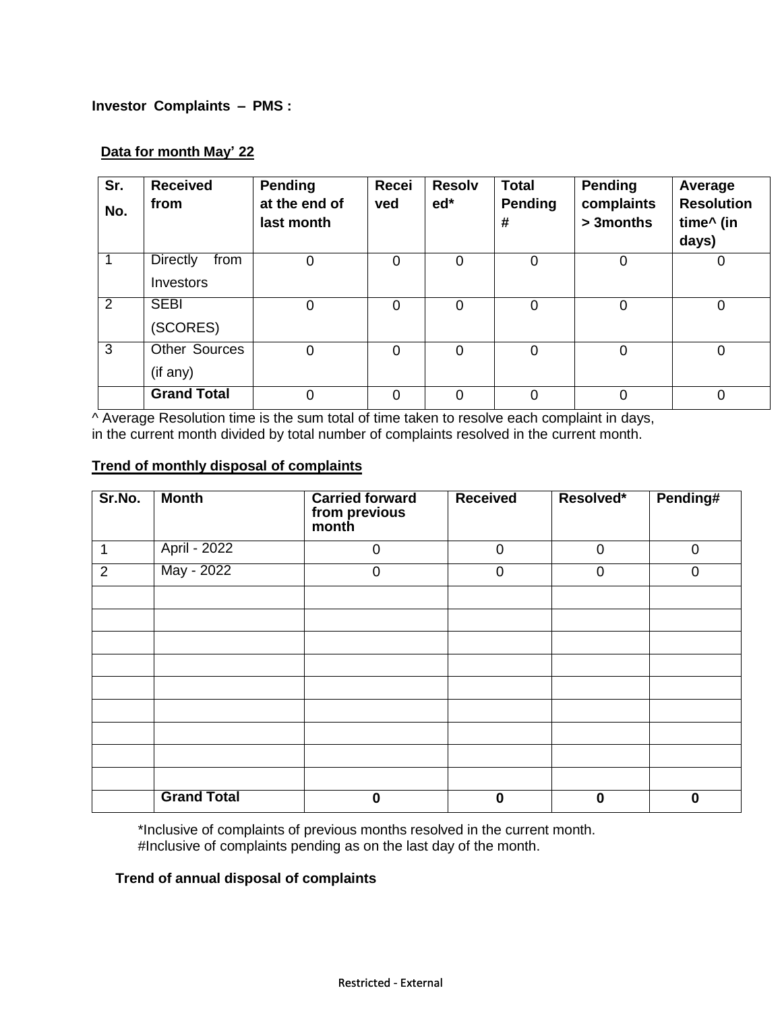## **Investor Complaints – PMS :**

## **Data for month May' 22**

| Sr.<br>No. | <b>Received</b><br>from | Pending<br>at the end of<br>last month | Recei<br>ved | <b>Resolv</b><br>$ed*$ | <b>Total</b><br>Pending<br># | <b>Pending</b><br>complaints<br>> 3 months | Average<br><b>Resolution</b><br>time^ (in<br>days) |
|------------|-------------------------|----------------------------------------|--------------|------------------------|------------------------------|--------------------------------------------|----------------------------------------------------|
|            | <b>Directly</b><br>from | 0                                      | $\Omega$     | $\overline{0}$         | 0                            | 0                                          | 0                                                  |
|            | Investors               |                                        |              |                        |                              |                                            |                                                    |
| 2          | <b>SEBI</b>             | 0                                      | 0            | $\overline{0}$         | 0                            | $\mathbf 0$                                | 0                                                  |
|            | (SCORES)                |                                        |              |                        |                              |                                            |                                                    |
| 3          | <b>Other Sources</b>    | $\Omega$                               | $\Omega$     | $\overline{0}$         | $\overline{0}$               | $\mathbf 0$                                | 0                                                  |
|            | (if any)                |                                        |              |                        |                              |                                            |                                                    |
|            | <b>Grand Total</b>      | 0                                      | $\Omega$     | 0                      | 0                            | 0                                          | 0                                                  |

^ Average Resolution time is the sum total of time taken to resolve each complaint in days, in the current month divided by total number of complaints resolved in the current month.

## **Trend of monthly disposal of complaints**

| Sr.No.         | <b>Month</b>       | <b>Carried forward</b><br>from previous<br>month | <b>Received</b> | Resolved*   | Pending#    |
|----------------|--------------------|--------------------------------------------------|-----------------|-------------|-------------|
|                | April - 2022       | $\mathbf 0$                                      | $\mathbf 0$     | $\mathbf 0$ | $\mathbf 0$ |
| $\overline{2}$ | May - 2022         | $\mathbf 0$                                      | $\overline{0}$  | $\mathbf 0$ | $\Omega$    |
|                |                    |                                                  |                 |             |             |
|                |                    |                                                  |                 |             |             |
|                |                    |                                                  |                 |             |             |
|                |                    |                                                  |                 |             |             |
|                |                    |                                                  |                 |             |             |
|                |                    |                                                  |                 |             |             |
|                |                    |                                                  |                 |             |             |
|                |                    |                                                  |                 |             |             |
|                |                    |                                                  |                 |             |             |
|                | <b>Grand Total</b> | $\bf{0}$                                         | $\bf{0}$        | 0           | 0           |

\*Inclusive of complaints of previous months resolved in the current month. #Inclusive of complaints pending as on the last day of the month.

## **Trend of annual disposal of complaints**